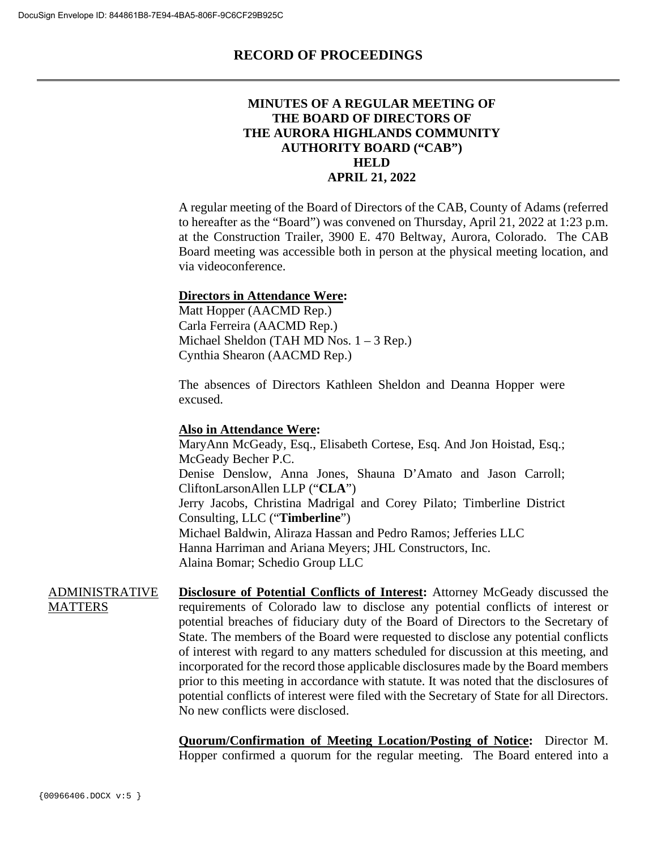#### **MINUTES OF A REGULAR MEETING OF THE BOARD OF DIRECTORS OF THE AURORA HIGHLANDS COMMUNITY AUTHORITY BOARD ("CAB") HELD APRIL 21, 2022**

A regular meeting of the Board of Directors of the CAB, County of Adams (referred to hereafter as the "Board") was convened on Thursday, April 21, 2022 at 1:23 p.m. at the Construction Trailer, 3900 E. 470 Beltway, Aurora, Colorado. The CAB Board meeting was accessible both in person at the physical meeting location, and via videoconference.

#### **Directors in Attendance Were:**

Matt Hopper (AACMD Rep.) Carla Ferreira (AACMD Rep.) Michael Sheldon (TAH MD Nos. 1 – 3 Rep.) Cynthia Shearon (AACMD Rep.)

The absences of Directors Kathleen Sheldon and Deanna Hopper were excused.

#### **Also in Attendance Were:**

MaryAnn McGeady, Esq., Elisabeth Cortese, Esq. And Jon Hoistad, Esq.; McGeady Becher P.C. Denise Denslow, Anna Jones, Shauna D'Amato and Jason Carroll; CliftonLarsonAllen LLP ("**CLA**") Jerry Jacobs, Christina Madrigal and Corey Pilato; Timberline District Consulting, LLC ("**Timberline**") Michael Baldwin, Aliraza Hassan and Pedro Ramos; Jefferies LLC Hanna Harriman and Ariana Meyers; JHL Constructors, Inc. Alaina Bomar; Schedio Group LLC

ADMINISTRATIVE **MATTERS Disclosure of Potential Conflicts of Interest:** Attorney McGeady discussed the requirements of Colorado law to disclose any potential conflicts of interest or potential breaches of fiduciary duty of the Board of Directors to the Secretary of State. The members of the Board were requested to disclose any potential conflicts of interest with regard to any matters scheduled for discussion at this meeting, and incorporated for the record those applicable disclosures made by the Board members prior to this meeting in accordance with statute. It was noted that the disclosures of potential conflicts of interest were filed with the Secretary of State for all Directors. No new conflicts were disclosed.

> **Quorum/Confirmation of Meeting Location/Posting of Notice:** Director M. Hopper confirmed a quorum for the regular meeting. The Board entered into a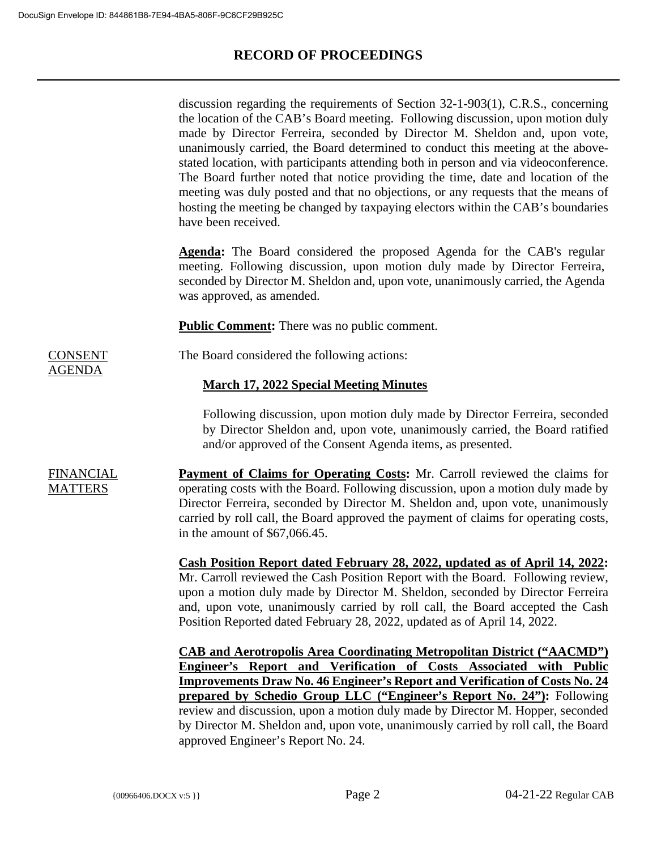|                                    | discussion regarding the requirements of Section $32-1-903(1)$ , C.R.S., concerning<br>the location of the CAB's Board meeting. Following discussion, upon motion duly<br>made by Director Ferreira, seconded by Director M. Sheldon and, upon vote,<br>unanimously carried, the Board determined to conduct this meeting at the above-<br>stated location, with participants attending both in person and via videoconference.<br>The Board further noted that notice providing the time, date and location of the<br>meeting was duly posted and that no objections, or any requests that the means of<br>hosting the meeting be changed by taxpaying electors within the CAB's boundaries<br>have been received. |
|------------------------------------|---------------------------------------------------------------------------------------------------------------------------------------------------------------------------------------------------------------------------------------------------------------------------------------------------------------------------------------------------------------------------------------------------------------------------------------------------------------------------------------------------------------------------------------------------------------------------------------------------------------------------------------------------------------------------------------------------------------------|
|                                    | <b>Agenda:</b> The Board considered the proposed Agenda for the CAB's regular<br>meeting. Following discussion, upon motion duly made by Director Ferreira,<br>seconded by Director M. Sheldon and, upon vote, unanimously carried, the Agenda<br>was approved, as amended.                                                                                                                                                                                                                                                                                                                                                                                                                                         |
|                                    | <b>Public Comment:</b> There was no public comment.                                                                                                                                                                                                                                                                                                                                                                                                                                                                                                                                                                                                                                                                 |
| <b>CONSENT</b><br><u>AGENDA</u>    | The Board considered the following actions:                                                                                                                                                                                                                                                                                                                                                                                                                                                                                                                                                                                                                                                                         |
|                                    | <b>March 17, 2022 Special Meeting Minutes</b>                                                                                                                                                                                                                                                                                                                                                                                                                                                                                                                                                                                                                                                                       |
|                                    | Following discussion, upon motion duly made by Director Ferreira, seconded<br>by Director Sheldon and, upon vote, unanimously carried, the Board ratified<br>and/or approved of the Consent Agenda items, as presented.                                                                                                                                                                                                                                                                                                                                                                                                                                                                                             |
| <b>FINANCIAL</b><br><b>MATTERS</b> | <b>Payment of Claims for Operating Costs:</b> Mr. Carroll reviewed the claims for<br>operating costs with the Board. Following discussion, upon a motion duly made by<br>Director Ferreira, seconded by Director M. Sheldon and, upon vote, unanimously<br>carried by roll call, the Board approved the payment of claims for operating costs,<br>in the amount of $$67,066.45$ .                                                                                                                                                                                                                                                                                                                                   |
|                                    | Cash Position Report dated February 28, 2022, updated as of April 14, 2022:<br>Mr. Carroll reviewed the Cash Position Report with the Board. Following review,<br>upon a motion duly made by Director M. Sheldon, seconded by Director Ferreira<br>and, upon vote, unanimously carried by roll call, the Board accepted the Cash<br>Position Reported dated February 28, 2022, updated as of April 14, 2022.                                                                                                                                                                                                                                                                                                        |
|                                    | <b>CAB and Aerotropolis Area Coordinating Metropolitan District ("AACMD")</b><br>Engineer's Report and Verification of Costs Associated with Public<br><b>Improvements Draw No. 46 Engineer's Report and Verification of Costs No. 24</b><br>prepared by Schedio Group LLC ("Engineer's Report No. 24"): Following<br>review and discussion, upon a motion duly made by Director M. Hopper, seconded<br>by Director M. Sheldon and, upon vote, unanimously carried by roll call, the Board<br>approved Engineer's Report No. 24.                                                                                                                                                                                    |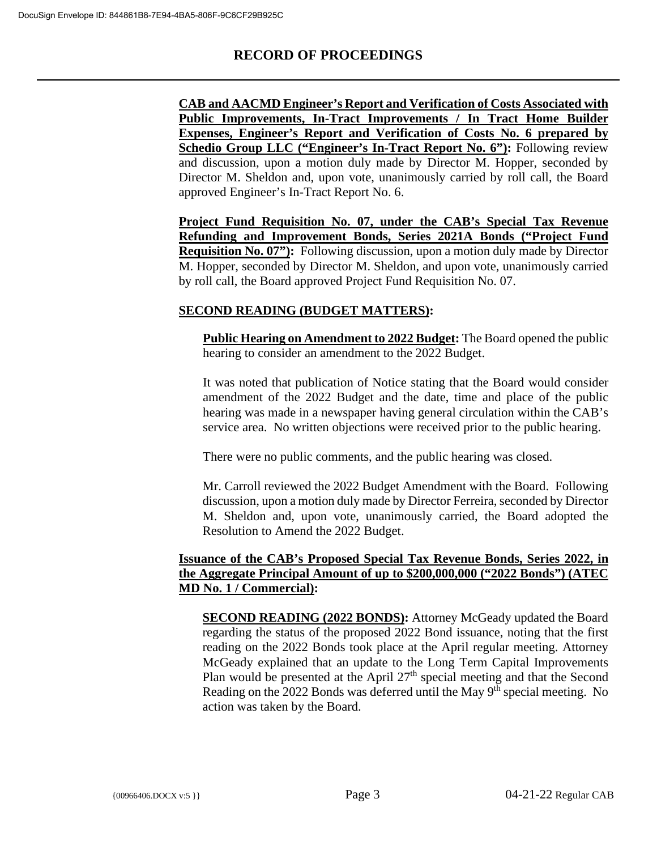**CAB and AACMD Engineer's Report and Verification of Costs Associated with Public Improvements, In-Tract Improvements / In Tract Home Builder Expenses, Engineer's Report and Verification of Costs No. 6 prepared by Schedio Group LLC ("Engineer's In-Tract Report No. 6"):** Following review and discussion, upon a motion duly made by Director M. Hopper, seconded by Director M. Sheldon and, upon vote, unanimously carried by roll call, the Board approved Engineer's In-Tract Report No. 6.

**Project Fund Requisition No. 07, under the CAB's Special Tax Revenue Refunding and Improvement Bonds, Series 2021A Bonds ("Project Fund Requisition No. 07"):** Following discussion, upon a motion duly made by Director M. Hopper, seconded by Director M. Sheldon, and upon vote, unanimously carried by roll call, the Board approved Project Fund Requisition No. 07.

### **SECOND READING (BUDGET MATTERS):**

**Public Hearing on Amendment to 2022 Budget:** The Board opened the public hearing to consider an amendment to the 2022 Budget.

It was noted that publication of Notice stating that the Board would consider amendment of the 2022 Budget and the date, time and place of the public hearing was made in a newspaper having general circulation within the CAB's service area. No written objections were received prior to the public hearing.

There were no public comments, and the public hearing was closed.

Mr. Carroll reviewed the 2022 Budget Amendment with the Board. Following discussion, upon a motion duly made by Director Ferreira, seconded by Director M. Sheldon and, upon vote, unanimously carried, the Board adopted the Resolution to Amend the 2022 Budget.

#### **Issuance of the CAB's Proposed Special Tax Revenue Bonds, Series 2022, in the Aggregate Principal Amount of up to \$200,000,000 ("2022 Bonds") (ATEC MD No. 1 / Commercial):**

**SECOND READING (2022 BONDS):** Attorney McGeady updated the Board regarding the status of the proposed 2022 Bond issuance, noting that the first reading on the 2022 Bonds took place at the April regular meeting. Attorney McGeady explained that an update to the Long Term Capital Improvements Plan would be presented at the April  $27<sup>th</sup>$  special meeting and that the Second Reading on the 2022 Bonds was deferred until the May  $9<sup>th</sup>$  special meeting. No action was taken by the Board.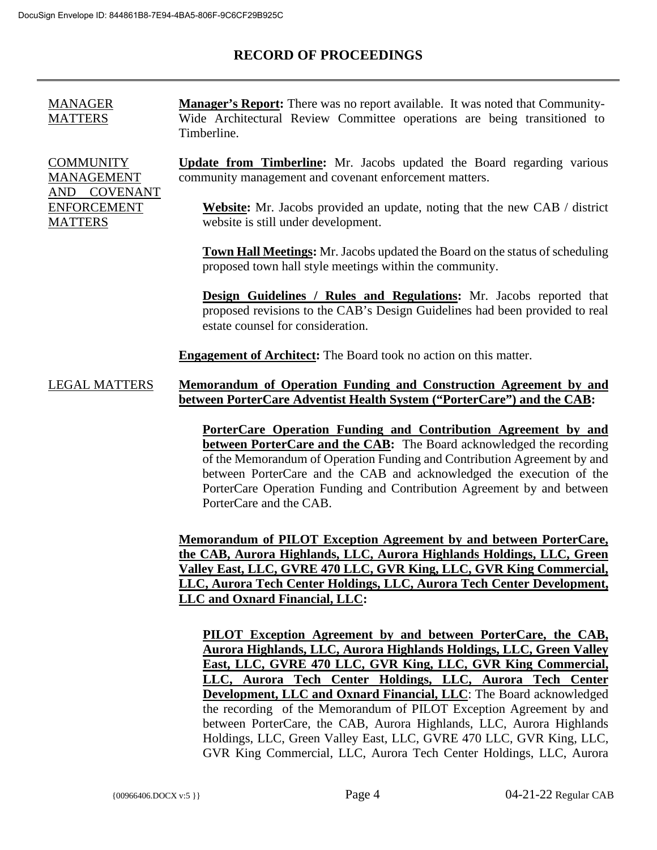| <b>MANAGER</b><br><b>MATTERS</b>                                                                        | <b>Manager's Report:</b> There was no report available. It was noted that Community-<br>Wide Architectural Review Committee operations are being transitioned to<br>Timberline.                |
|---------------------------------------------------------------------------------------------------------|------------------------------------------------------------------------------------------------------------------------------------------------------------------------------------------------|
| <b>COMMUNITY</b><br><b>MANAGEMENT</b><br><b>COVENANT</b><br>AND<br><b>ENFORCEMENT</b><br><b>MATTERS</b> | <b>Update from Timberline:</b> Mr. Jacobs updated the Board regarding various<br>community management and covenant enforcement matters.                                                        |
|                                                                                                         | Website: Mr. Jacobs provided an update, noting that the new CAB / district<br>website is still under development.                                                                              |
|                                                                                                         | <b>Town Hall Meetings:</b> Mr. Jacobs updated the Board on the status of scheduling<br>proposed town hall style meetings within the community.                                                 |
|                                                                                                         | <b>Design Guidelines / Rules and Regulations:</b> Mr. Jacobs reported that<br>proposed revisions to the CAB's Design Guidelines had been provided to real<br>estate counsel for consideration. |
|                                                                                                         | <b>Engagement of Architect:</b> The Board took no action on this matter.                                                                                                                       |
| <b>LEGAL MATTERS</b>                                                                                    | <u>Memorandum of Operation Funding and Construction Agreement by and</u><br>between PorterCare Adventist Health System ("PorterCare") and the CAB:                                             |
|                                                                                                         | PorterCare Operation Funding and Contribution Agreement by and                                                                                                                                 |
|                                                                                                         | <b>between PorterCare and the CAB:</b> The Board acknowledged the recording                                                                                                                    |

**between PorterCare and the CAB:** The Board acknowledged the recording of the Memorandum of Operation Funding and Contribution Agreement by and between PorterCare and the CAB and acknowledged the execution of the PorterCare Operation Funding and Contribution Agreement by and between PorterCare and the CAB.

**Memorandum of PILOT Exception Agreement by and between PorterCare, the CAB, Aurora Highlands, LLC, Aurora Highlands Holdings, LLC, Green Valley East, LLC, GVRE 470 LLC, GVR King, LLC, GVR King Commercial, LLC, Aurora Tech Center Holdings, LLC, Aurora Tech Center Development, LLC and Oxnard Financial, LLC:** 

**PILOT Exception Agreement by and between PorterCare, the CAB, Aurora Highlands, LLC, Aurora Highlands Holdings, LLC, Green Valley East, LLC, GVRE 470 LLC, GVR King, LLC, GVR King Commercial, LLC, Aurora Tech Center Holdings, LLC, Aurora Tech Center Development, LLC and Oxnard Financial, LLC**: The Board acknowledged the recording of the Memorandum of PILOT Exception Agreement by and between PorterCare, the CAB, Aurora Highlands, LLC, Aurora Highlands Holdings, LLC, Green Valley East, LLC, GVRE 470 LLC, GVR King, LLC, GVR King Commercial, LLC, Aurora Tech Center Holdings, LLC, Aurora